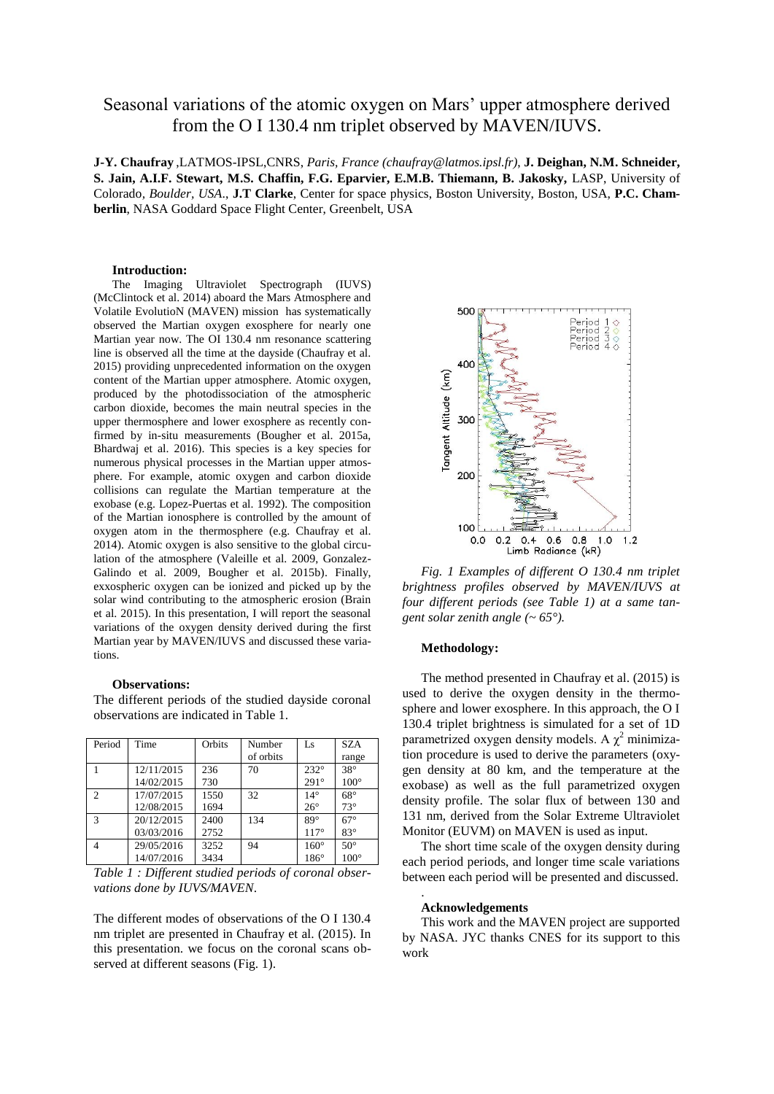# Seasonal variations of the atomic oxygen on Mars' upper atmosphere derived from the O I 130.4 nm triplet observed by MAVEN/IUVS.

**J-Y. Chaufray** ,LATMOS-IPSL,CNRS, *Paris, France (chaufray@latmos.ipsl.fr)*, **J. Deighan, N.M. Schneider, S. Jain, A.I.F. Stewart, M.S. Chaffin, F.G. Eparvier, E.M.B. Thiemann, B. Jakosky,** LASP, University of Colorado*, Boulder, USA*., **J.T Clarke**, Center for space physics, Boston University, Boston, USA, **P.C. Chamberlin**, NASA Goddard Space Flight Center, Greenbelt, USA

### **Introduction:**

The Imaging Ultraviolet Spectrograph (IUVS) (McClintock et al. 2014) aboard the Mars Atmosphere and Volatile EvolutioN (MAVEN) mission has systematically observed the Martian oxygen exosphere for nearly one Martian year now. The OI 130.4 nm resonance scattering line is observed all the time at the dayside (Chaufray et al. 2015) providing unprecedented information on the oxygen content of the Martian upper atmosphere. Atomic oxygen, produced by the photodissociation of the atmospheric carbon dioxide, becomes the main neutral species in the upper thermosphere and lower exosphere as recently confirmed by in-situ measurements (Bougher et al. 2015a, Bhardwaj et al. 2016). This species is a key species for numerous physical processes in the Martian upper atmosphere. For example, atomic oxygen and carbon dioxide collisions can regulate the Martian temperature at the exobase (e.g. Lopez-Puertas et al. 1992). The composition of the Martian ionosphere is controlled by the amount of oxygen atom in the thermosphere (e.g. Chaufray et al. 2014). Atomic oxygen is also sensitive to the global circulation of the atmosphere (Valeille et al. 2009, Gonzalez-Galindo et al. 2009, Bougher et al. 2015b). Finally, exxospheric oxygen can be ionized and picked up by the solar wind contributing to the atmospheric erosion (Brain et al. 2015). In this presentation, I will report the seasonal variations of the oxygen density derived during the first Martian year by MAVEN/IUVS and discussed these variations.

#### **Observations:**

The different periods of the studied dayside coronal observations are indicated in Table 1.

| Period         | Time       | Orbits | Number    | Ls           | <b>SZA</b>  |
|----------------|------------|--------|-----------|--------------|-------------|
|                |            |        | of orbits |              | range       |
|                | 12/11/2015 | 236    | 70        | $232^\circ$  | $38^\circ$  |
|                | 14/02/2015 | 730    |           | $291^\circ$  | $100^\circ$ |
| $\overline{c}$ | 17/07/2015 | 1550   | 32        | $14^{\circ}$ | $68^\circ$  |
|                | 12/08/2015 | 1694   |           | $26^{\circ}$ | $73^\circ$  |
| 3              | 20/12/2015 | 2400   | 134       | $89^\circ$   | $67^\circ$  |
|                | 03/03/2016 | 2752   |           | $117^\circ$  | $83^\circ$  |
| 4              | 29/05/2016 | 3252   | 94        | $160^\circ$  | $50^\circ$  |
|                | 14/07/2016 | 3434   |           | $186^\circ$  | $100^\circ$ |

*Table 1 : Different studied periods of coronal observations done by IUVS/MAVEN*.

The different modes of observations of the O I 130.4 nm triplet are presented in Chaufray et al. (2015). In this presentation. we focus on the coronal scans observed at different seasons (Fig. 1).



*Fig. 1 Examples of different O 130.4 nm triplet brightness profiles observed by MAVEN/IUVS at four different periods (see Table 1) at a same tangent solar zenith angle (~ 65°).*

## **Methodology:**

The method presented in Chaufray et al. (2015) is used to derive the oxygen density in the thermosphere and lower exosphere. In this approach, the O I 130.4 triplet brightness is simulated for a set of 1D parametrized oxygen density models. A  $\chi^2$  minimization procedure is used to derive the parameters (oxygen density at 80 km, and the temperature at the exobase) as well as the full parametrized oxygen density profile. The solar flux of between 130 and 131 nm, derived from the Solar Extreme Ultraviolet Monitor (EUVM) on MAVEN is used as input.

The short time scale of the oxygen density during each period periods, and longer time scale variations between each period will be presented and discussed.

#### **Acknowledgements**

.

This work and the MAVEN project are supported by NASA. JYC thanks CNES for its support to this work